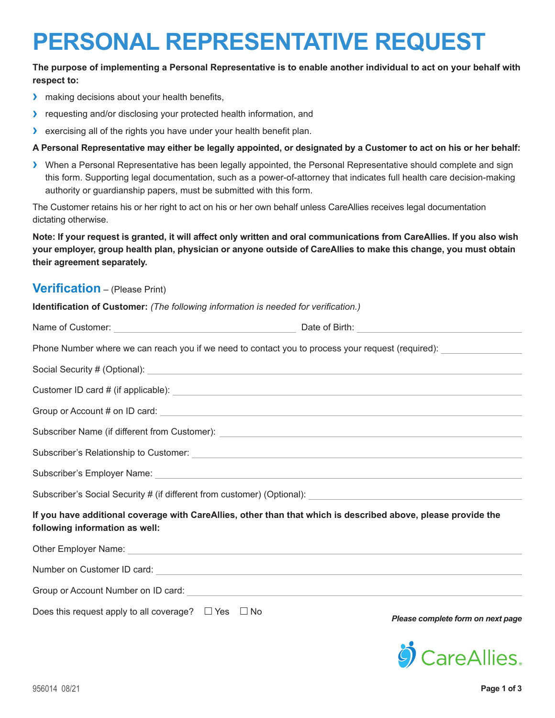# **PERSONAL REPRESENTATIVE REQUEST**

## **The purpose of implementing a Personal Representative is to enable another individual to act on your behalf with respect to:**

- **›** making decisions about your health benefits,
- **›** requesting and/or disclosing your protected health information, and
- **›** exercising all of the rights you have under your health benefit plan.

#### **A Personal Representative may either be legally appointed, or designated by a Customer to act on his or her behalf:**

**›** When a Personal Representative has been legally appointed, the Personal Representative should complete and sign this form. Supporting legal documentation, such as a power-of-attorney that indicates full health care decision-making authority or guardianship papers, must be submitted with this form.

The Customer retains his or her right to act on his or her own behalf unless CareAllies receives legal documentation dictating otherwise.

**Note: If your request is granted, it will affect only written and oral communications from CareAllies. If you also wish your employer, group health plan, physician or anyone outside of CareAllies to make this change, you must obtain their agreement separately.**

## **Verification** – (Please Print)

| Identification of Customer: (The following information is needed for verification.)                                                                                                                                                  |                                   |
|--------------------------------------------------------------------------------------------------------------------------------------------------------------------------------------------------------------------------------------|-----------------------------------|
|                                                                                                                                                                                                                                      |                                   |
| Phone Number where we can reach you if we need to contact you to process your request (required):                                                                                                                                    |                                   |
| Social Security # (Optional): <u>[100]</u> Contact Text Contact Text Contact Text Contact Text Contact Text Contact Text Contact Text Contact Text Contact Text Contact Text Contact Text Contact Text Contact Text Contact Text Co  |                                   |
|                                                                                                                                                                                                                                      |                                   |
| Group or Account # on ID card: <u>contract the contract of the contract of the contract of the contract of the contract of the contract of the contract of the contract of the contract of the contract of the contract of the c</u> |                                   |
| Subscriber Name (if different from Customer): <b>All any Construct Constant Construct Construct Constant Construct</b>                                                                                                               |                                   |
|                                                                                                                                                                                                                                      |                                   |
|                                                                                                                                                                                                                                      |                                   |
|                                                                                                                                                                                                                                      |                                   |
| If you have additional coverage with CareAllies, other than that which is described above, please provide the<br>following information as well:                                                                                      |                                   |
| Other Employer Name: Cambridge Contract Contract Contract Contract Contract Contract Contract Contract Contract Contract Contract Contract Contract Contract Contract Contract Contract Contract Contract Contract Contract Co       |                                   |
|                                                                                                                                                                                                                                      |                                   |
|                                                                                                                                                                                                                                      |                                   |
| Does this request apply to all coverage? $\Box$ Yes $\Box$ No                                                                                                                                                                        | Please complete form on next page |

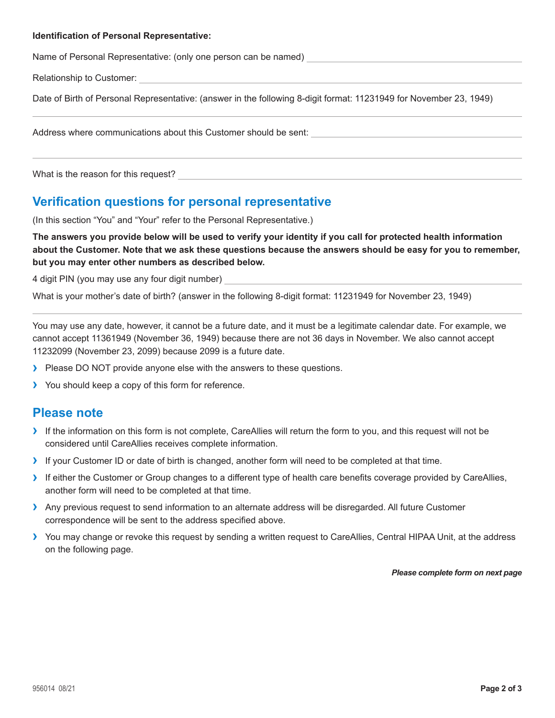#### **Identification of Personal Representative:**

Name of Personal Representative: (only one person can be named)

Relationship to Customer:

Date of Birth of Personal Representative: (answer in the following 8-digit format: 11231949 for November 23, 1949)

Address where communications about this Customer should be sent:

What is the reason for this request?

## **Verification questions for personal representative**

(In this section "You" and "Your" refer to the Personal Representative.)

**The answers you provide below will be used to verify your identity if you call for protected health information about the Customer. Note that we ask these questions because the answers should be easy for you to remember, but you may enter other numbers as described below.**

4 digit PIN (you may use any four digit number)

What is your mother's date of birth? (answer in the following 8-digit format: 11231949 for November 23, 1949)

You may use any date, however, it cannot be a future date, and it must be a legitimate calendar date. For example, we cannot accept 11361949 (November 36, 1949) because there are not 36 days in November. We also cannot accept 11232099 (November 23, 2099) because 2099 is a future date.

- **›** Please DO NOT provide anyone else with the answers to these questions.
- **›** You should keep a copy of this form for reference.

## **Please note**

- **›** If the information on this form is not complete, CareAllies will return the form to you, and this request will not be considered until CareAllies receives complete information.
- **›** If your Customer ID or date of birth is changed, another form will need to be completed at that time.
- **›** If either the Customer or Group changes to a different type of health care benefits coverage provided by CareAllies, another form will need to be completed at that time.
- **›** Any previous request to send information to an alternate address will be disregarded. All future Customer correspondence will be sent to the address specified above.
- **›** You may change or revoke this request by sending a written request to CareAllies, Central HIPAA Unit, at the address on the following page.

*Please complete form on next page*